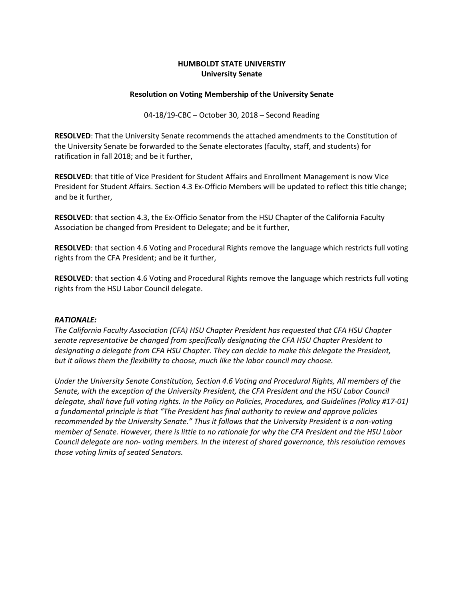## **HUMBOLDT STATE UNIVERSTIY University Senate**

#### **Resolution on Voting Membership of the University Senate**

04-18/19-CBC – October 30, 2018 – Second Reading

**RESOLVED**: That the University Senate recommends the attached amendments to the Constitution of the University Senate be forwarded to the Senate electorates (faculty, staff, and students) for ratification in fall 2018; and be it further,

**RESOLVED**: that title of Vice President for Student Affairs and Enrollment Management is now Vice President for Student Affairs. Section 4.3 Ex-Officio Members will be updated to reflect this title change; and be it further,

**RESOLVED**: that section 4.3, the Ex-Officio Senator from the HSU Chapter of the California Faculty Association be changed from President to Delegate; and be it further,

**RESOLVED**: that section 4.6 Voting and Procedural Rights remove the language which restricts full voting rights from the CFA President; and be it further,

**RESOLVED**: that section 4.6 Voting and Procedural Rights remove the language which restricts full voting rights from the HSU Labor Council delegate.

#### *RATIONALE:*

*The California Faculty Association (CFA) HSU Chapter President has requested that CFA HSU Chapter senate representative be changed from specifically designating the CFA HSU Chapter President to designating a delegate from CFA HSU Chapter. They can decide to make this delegate the President, but it allows them the flexibility to choose, much like the labor council may choose.*

*Under the University Senate Constitution, Section 4.6 Voting and Procedural Rights, All members of the Senate, with the exception of the University President, the CFA President and the HSU Labor Council delegate, shall have full voting rights. In the Policy on Policies, Procedures, and Guidelines (Policy #17-01) a fundamental principle is that "The President has final authority to review and approve policies recommended by the University Senate." Thus it follows that the University President is a non-voting member of Senate. However, there is little to no rationale for why the CFA President and the HSU Labor Council delegate are non- voting members. In the interest of shared governance, this resolution removes those voting limits of seated Senators.*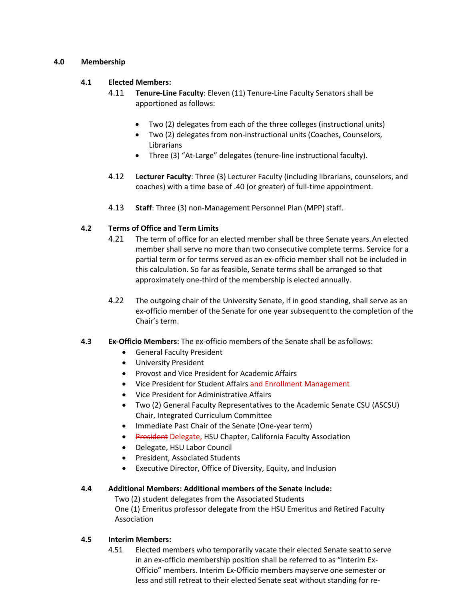## **4.0 Membership**

## **4.1 Elected Members:**

- 4.11 **Tenure-Line Faculty**: Eleven (11) Tenure-Line Faculty Senators shall be apportioned as follows:
	- Two (2) delegates from each of the three colleges (instructional units)
	- Two (2) delegates from non-instructional units (Coaches, Counselors, Librarians
	- Three (3) "At-Large" delegates (tenure-line instructional faculty).
- 4.12 **Lecturer Faculty**: Three (3) Lecturer Faculty (including librarians, counselors, and coaches) with a time base of .40 (or greater) of full-time appointment.
- 4.13 Staff: Three (3) non-Management Personnel Plan (MPP) staff.

# **4.2 Terms of Office and Term Limits**

- 4.21 The term of office for an elected member shall be three Senate years.An elected member shall serve no more than two consecutive complete terms. Service for a partial term or for terms served as an ex-officio member shall not be included in this calculation. So far as feasible, Senate terms shall be arranged so that approximately one-third of the membership is elected annually.
- 4.22 The outgoing chair of the University Senate, if in good standing, shall serve as an ex-officio member of the Senate for one year subsequentto the completion of the Chair's term.

### **4.3 Ex-Officio Members:** The ex-officio members of the Senate shall be asfollows:

- General Faculty President
- University President
- Provost and Vice President for Academic Affairs
- Vice President for Student Affairs and Enrollment Management
- Vice President for Administrative Affairs
- Two (2) General Faculty Representatives to the Academic Senate CSU (ASCSU) Chair, Integrated Curriculum Committee
- Immediate Past Chair of the Senate (One-year term)
- President Delegate, HSU Chapter, California Faculty Association
- Delegate, HSU Labor Council
- President, Associated Students
- Executive Director, Office of Diversity, Equity, and Inclusion

### **4.4 Additional Members: Additional members of the Senate include:**

Two (2) student delegates from the Associated Students

One (1) Emeritus professor delegate from the HSU Emeritus and Retired Faculty Association

### **4.5 Interim Members:**

4.51 Elected members who temporarily vacate their elected Senate seatto serve in an ex-officio membership position shall be referred to as "Interim Ex-Officio" members. Interim Ex-Officio members mayserve one semester or less and still retreat to their elected Senate seat without standing for re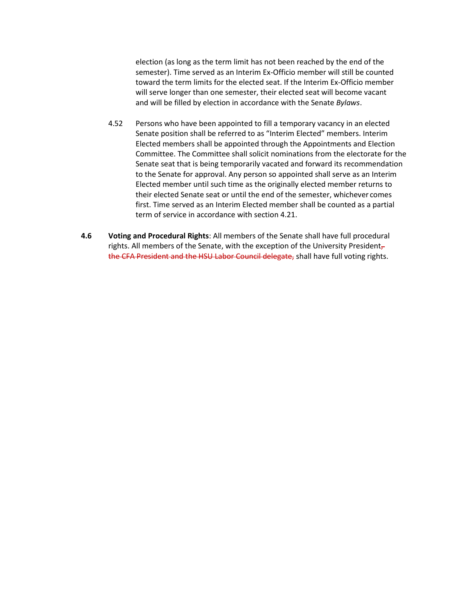election (as long as the term limit has not been reached by the end of the semester). Time served as an Interim Ex-Officio member will still be counted toward the term limits for the elected seat. If the Interim Ex-Officio member will serve longer than one semester, their elected seat will become vacant and will be filled by election in accordance with the Senate *Bylaws*.

- 4.52 Persons who have been appointed to fill a temporary vacancy in an elected Senate position shall be referred to as "Interim Elected" members. Interim Elected members shall be appointed through the Appointments and Election Committee. The Committee shall solicit nominations from the electorate for the Senate seat that is being temporarily vacated and forward its recommendation to the Senate for approval. Any person so appointed shall serve as an Interim Elected member until such time as the originally elected member returns to their elected Senate seat or until the end of the semester, whichever comes first. Time served as an Interim Elected member shall be counted as a partial term of service in accordance with section 4.21.
- **4.6 Voting and Procedural Rights**: All members of the Senate shall have full procedural rights. All members of the Senate, with the exception of the University President $_{\tau}$ the CFA President and the HSU Labor Council delegate, shall have full voting rights.